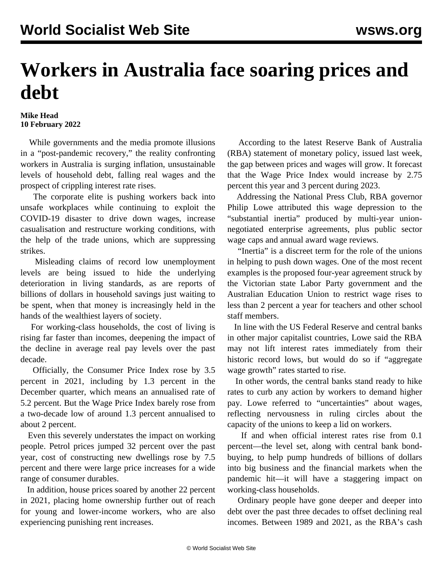## **Workers in Australia face soaring prices and debt**

## **Mike Head 10 February 2022**

 While governments and the media promote illusions in a "post-pandemic recovery," the reality confronting workers in Australia is surging inflation, unsustainable levels of household debt, falling real wages and the prospect of crippling interest rate rises.

 The corporate elite is pushing workers back into unsafe workplaces while continuing to exploit the COVID-19 disaster to drive down wages, increase casualisation and restructure working conditions, with the help of the trade unions, which are suppressing strikes.

 Misleading claims of record low unemployment levels are being issued to hide the underlying deterioration in living standards, as are reports of billions of dollars in household savings just waiting to be spent, when that money is increasingly held in the hands of the wealthiest layers of society.

 For working-class households, the cost of living is rising far faster than incomes, deepening the impact of the decline in average real pay levels over the past decade.

 Officially, the Consumer Price Index rose by 3.5 percent in 2021, including by 1.3 percent in the December quarter, which means an annualised rate of 5.2 percent. But the Wage Price Index barely rose from a two-decade low of around 1.3 percent annualised to about 2 percent.

 Even this severely understates the impact on working people. Petrol prices jumped 32 percent over the past year, cost of constructing new dwellings rose by 7.5 percent and there were large price increases for a wide range of consumer durables.

 In addition, house prices soared by another 22 percent in 2021, placing home ownership further out of reach for young and lower-income workers, who are also experiencing punishing rent increases.

 According to the latest Reserve Bank of Australia (RBA) statement of monetary policy, issued last week, the gap between prices and wages will grow. It forecast that the Wage Price Index would increase by 2.75 percent this year and 3 percent during 2023.

 Addressing the National Press Club, RBA governor Philip Lowe attributed this wage depression to the "substantial inertia" produced by multi-year unionnegotiated enterprise agreements, plus public sector wage caps and annual award wage reviews.

 "Inertia" is a discreet term for the role of the unions in helping to push down wages. One of the most recent examples is the proposed [four-year agreement](/en/articles/2022/02/07/agre-f07.html) struck by the Victorian state Labor Party government and the Australian Education Union to restrict wage rises to less than 2 percent a year for teachers and other school staff members.

 In line with the US Federal Reserve and central banks in other major capitalist countries, Lowe said the RBA may not lift interest rates immediately from their historic record lows, but would do so if "aggregate wage growth" rates started to rise.

 In other words, the central banks stand ready to hike rates to curb any action by workers to demand higher pay. Lowe referred to "uncertainties" about wages, reflecting nervousness in ruling circles about the capacity of the unions to keep a lid on workers.

 If and when official interest rates rise from 0.1 percent—the level set, along with central bank bondbuying, to help pump hundreds of billions of dollars into big business and the financial markets when the pandemic hit—it will have a staggering impact on working-class households.

 Ordinary people have gone deeper and deeper into debt over the past three decades to offset declining real incomes. Between 1989 and 2021, as the RBA's cash